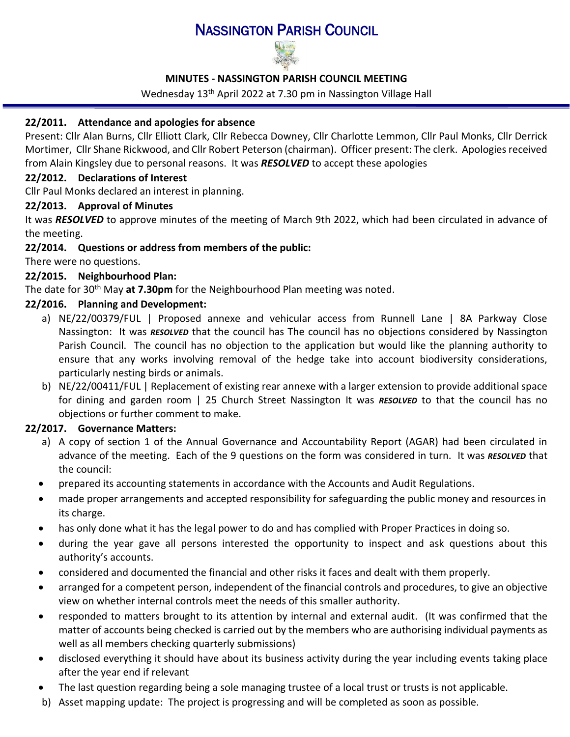# NASSINGTON PARISH COUNCIL



# **MINUTES - NASSINGTON PARISH COUNCIL MEETING**

Wednesday 13<sup>th</sup> April 2022 at 7.30 pm in Nassington Village Hall

# **22/2011. Attendance and apologies for absence**

Present: Cllr Alan Burns, Cllr Elliott Clark, Cllr Rebecca Downey, Cllr Charlotte Lemmon, Cllr Paul Monks, Cllr Derrick Mortimer, Cllr Shane Rickwood, and Cllr Robert Peterson (chairman). Officer present: The clerk. Apologies received from Alain Kingsley due to personal reasons. It was *RESOLVED* to accept these apologies

#### **22/2012. [Declarations of Interest](http://www.east-northamptonshire.gov.uk/info/723/parish_and_town_councils/1464/deene_and_deenethorpe_parish_council)**

Cllr Paul Monks declared an interest in planning.

#### **22/2013. Approval of Minutes**

It was *RESOLVED* to approve minutes of the meeting of March 9th 2022, which had been circulated in advance of the meeting.

# **22/2014. Questions or address from members of the public:**

There were no questions.

# **22/2015. Neighbourhood Plan:**

The date for 30th May **at 7.30pm** for the Neighbourhood Plan meeting was noted.

# **22/2016. Planning and Development:**

- a) NE/22/00379/FUL | Proposed annexe and vehicular access from Runnell Lane | 8A Parkway Close Nassington: It was *RESOLVED* that the council has The council has no objections considered by Nassington Parish Council. The council has no objection to the application but would like the planning authority to ensure that any works involving removal of the hedge take into account biodiversity considerations, particularly nesting birds or animals.
- b) NE/22/00411/FUL | Replacement of existing rear annexe with a larger extension to provide additional space for dining and garden room | 25 Church Street Nassington It was *RESOLVED* to that the council has no objections or further comment to make.

# <span id="page-0-0"></span>**22/2017. Governance Matters:**

- a) A copy of section 1 of the Annual Governance and Accountability Report (AGAR) had been circulated in advance of the meeting. Each of the 9 questions on the form was considered in turn. It was *RESOLVED* that the council:
- prepared its accounting statements in accordance with the Accounts and Audit Regulations.
- made proper arrangements and accepted responsibility for safeguarding the public money and resources in its charge.
- has only done what it has the legal power to do and has complied with Proper Practices in doing so.
- during the year gave all persons interested the opportunity to inspect and ask questions about this authority's accounts.
- considered and documented the financial and other risks it faces and dealt with them properly.
- arranged for a competent person, independent of the financial controls and procedures, to give an objective view on whether internal controls meet the needs of this smaller authority.
- responded to matters brought to its attention by internal and external audit. (It was confirmed that the matter of accounts being checked is carried out by the members who are authorising individual payments as well as all members checking quarterly submissions)
- disclosed everything it should have about its business activity during the year including events taking place after the year end if relevant
- The last question regarding being a sole managing trustee of a local trust or trusts is not applicable.
- b) Asset mapping update: The project is progressing and will be completed as soon as possible.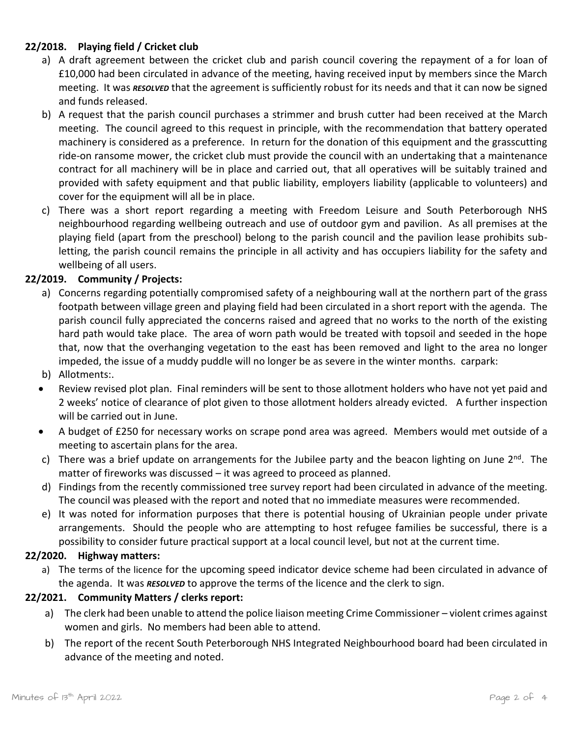# **22/2018. Playing field / Cricket club**

- a) A draft agreement between the cricket club and parish council covering the repayment of a for loan of £10,000 had been circulated in advance of the meeting, having received input by members since the March meeting. It was *RESOLVED* that the agreement is sufficiently robust for its needs and that it can now be signed and funds released.
- b) A request that the parish council purchases a strimmer and brush cutter had been received at the March meeting. The council agreed to this request in principle, with the recommendation that battery operated machinery is considered as a preference. In return for the donation of this equipment and the grasscutting ride-on ransome mower, the cricket club must provide the council with an undertaking that a maintenance contract for all machinery will be in place and carried out, that all operatives will be suitably trained and provided with safety equipment and that public liability, employers liability (applicable to volunteers) and cover for the equipment will all be in place.
- c) There was a short report regarding a meeting with Freedom Leisure and South Peterborough NHS neighbourhood regarding wellbeing outreach and use of outdoor gym and pavilion. As all premises at the playing field (apart from the preschool) belong to the parish council and the pavilion lease prohibits subletting, the parish council remains the principle in all activity and has occupiers liability for the safety and wellbeing of all users.

# **22/2019. Community / Projects:**

- a) Concerns regarding potentially compromised safety of a neighbouring wall at the northern part of the grass footpath between village green and playing field had been circulated in a short report with the agenda. The parish council fully appreciated the concerns raised and agreed that no works to the north of the existing hard path would take place. The area of worn path would be treated with topsoil and seeded in the hope that, now that the overhanging vegetation to the east has been removed and light to the area no longer impeded, the issue of a muddy puddle will no longer be as severe in the winter months. carpark:
- b) Allotments:.
- Review revised plot plan. Final reminders will be sent to those allotment holders who have not yet paid and 2 weeks' notice of clearance of plot given to those allotment holders already evicted. A further inspection will be carried out in June.
- A budget of £250 for necessary works on scrape pond area was agreed. Members would met outside of a meeting to ascertain plans for the area.
- c) There was a brief update on arrangements for the Jubilee party and the beacon lighting on June  $2^{nd}$ . The matter of fireworks was discussed – it was agreed to proceed as planned.
- d) Findings from the recently commissioned tree survey report had been circulated in advance of the meeting. The council was pleased with the report and noted that no immediate measures were recommended.
- e) It was noted for information purposes that there is potential housing of Ukrainian people under private arrangements. Should the people who are attempting to host refugee families be successful, there is a possibility to consider future practical support at a local council level, but not at the current time.

#### **22/2020. Highway matters:**

a) The terms of the licence for the upcoming speed indicator device scheme had been circulated in advance of the agenda. It was *RESOLVED* to approve the terms of the licence and the clerk to sign.

#### **22/2021. Community Matters / clerks report:**

- a) The clerk had been unable to attend the police liaison meeting Crime Commissioner violent crimes against women and girls. No members had been able to attend.
- b) The report of the recent South Peterborough NHS Integrated Neighbourhood board had been circulated in advance of the meeting and noted.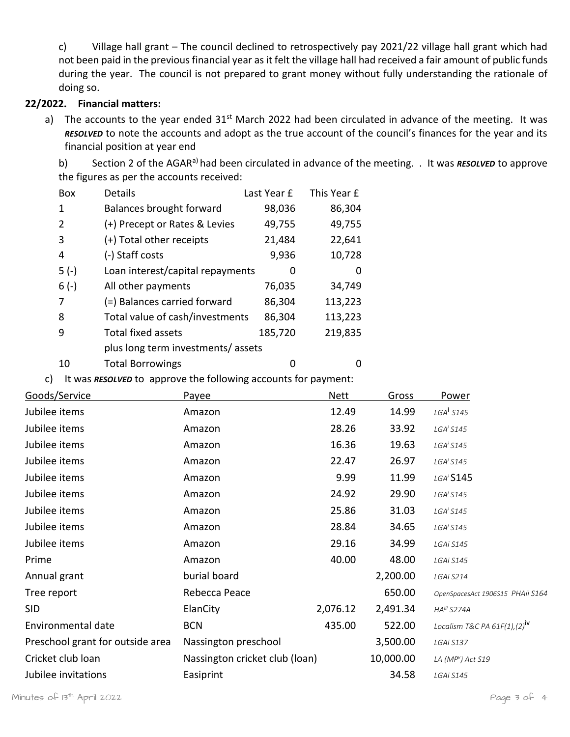c) Village hall grant – The council declined to retrospectively pay 2021/22 village hall grant which had not been paid in the previous financial year as it felt the village hall had received a fair amount of public funds during the year. The council is not prepared to grant money without fully understanding the rationale of doing so.

#### **22/2022. Financial matters:**

a) The accounts to the year ended 31<sup>st</sup> March 2022 had been circulated in advance of the meeting. It was *RESOLVED* to note the accounts and adopt as the true account of the council's finances for the year and its financial position at year end

b) Section 2 of the AGAR<sup>[a\)](#page-0-0)</sup> had been circulated in advance of the meeting. . It was *RESOLVED* to approve the figures as per the accounts received:

| <b>Box</b>    | Details                           | Last Year £ | This Year £ |
|---------------|-----------------------------------|-------------|-------------|
| 1             | Balances brought forward          | 98,036      | 86,304      |
| $\mathcal{L}$ | (+) Precept or Rates & Levies     | 49,755      | 49,755      |
| 3             | (+) Total other receipts          | 21,484      | 22,641      |
| 4             | (-) Staff costs                   | 9,936       | 10,728      |
| $5(-)$        | Loan interest/capital repayments  |             | O           |
| $6(-)$        | All other payments                | 76,035      | 34,749      |
| 7             | (=) Balances carried forward      | 86,304      | 113,223     |
| 8             | Total value of cash/investments   | 86,304      | 113,223     |
| 9             | <b>Total fixed assets</b>         | 185,720     | 219,835     |
|               | plus long term investments/assets |             |             |
| 10            | <b>Total Borrowings</b>           |             |             |

<span id="page-2-0"></span>c) It was *RESOLVED* to approve the following accounts for payment:

| Goods/Service                    | Payee                          | Nett     | Gross     | Power                                    |
|----------------------------------|--------------------------------|----------|-----------|------------------------------------------|
| Jubilee items                    | Amazon                         | 12.49    | 14.99     | $LGA^i$ S145                             |
| Jubilee items                    | Amazon                         | 28.26    | 33.92     | LGA <sup>i</sup> S145                    |
| Jubilee items                    | Amazon                         | 16.36    | 19.63     | LGA <sup>i</sup> S145                    |
| Jubilee items                    | Amazon                         | 22.47    | 26.97     | LGA <sup>i</sup> S145                    |
| Jubilee items                    | Amazon                         | 9.99     | 11.99     | LGA <sup>i</sup> S145                    |
| Jubilee items                    | Amazon                         | 24.92    | 29.90     | LGA <sup>i</sup> S145                    |
| Jubilee items                    | Amazon                         | 25.86    | 31.03     | LGA <sup>i</sup> S145                    |
| Jubilee items                    | Amazon                         | 28.84    | 34.65     | LGA <sup>i</sup> S145                    |
| Jubilee items                    | Amazon                         | 29.16    | 34.99     | LGAi S145                                |
| Prime                            | Amazon                         | 40.00    | 48.00     | LGAi S145                                |
| Annual grant                     | burial board                   |          | 2,200.00  | LGAi S214                                |
| Tree report                      | Rebecca Peace                  |          | 650.00    | OpenSpacesAct 1906S15 PHAii S164         |
| <b>SID</b>                       | ElanCity                       | 2,076.12 | 2,491.34  | HA <sup>iii</sup> S274A                  |
| Environmental date               | <b>BCN</b>                     | 435.00   | 522.00    | Localism T&C PA 61F(1),(2) <sup>IV</sup> |
| Preschool grant for outside area | Nassington preschool           |          | 3,500.00  | LGAI S137                                |
| Cricket club loan                | Nassington cricket club (loan) |          | 10,000.00 | LA ( $MPv$ ) Act S19                     |
| Jubilee invitations              | Easiprint                      |          | 34.58     | LGAi S145                                |